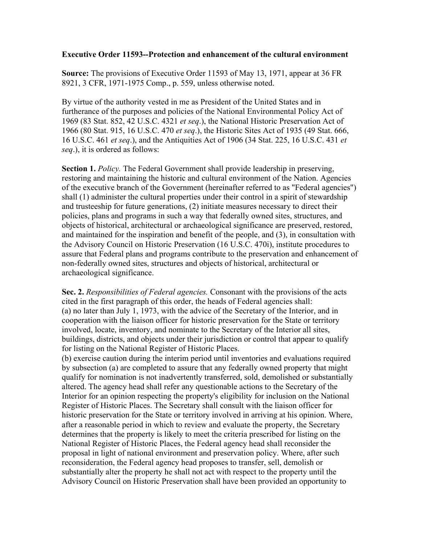## **Executive Order 11593--Protection and enhancement of the cultural environment**

**Source:** The provisions of Executive Order 11593 of May 13, 1971, appear at 36 FR 8921, 3 CFR, 1971-1975 Comp., p. 559, unless otherwise noted.

By virtue of the authority vested in me as President of the United States and in furtherance of the purposes and policies of the National Environmental Policy Act of 1969 (83 Stat. 852, 42 U.S.C. 4321 *et seq*.), the National Historic Preservation Act of 1966 (80 Stat. 915, 16 U.S.C. 470 *et seq*.), the Historic Sites Act of 1935 (49 Stat. 666, 16 U.S.C. 461 *et seq*.), and the Antiquities Act of 1906 (34 Stat. 225, 16 U.S.C. 431 *et seq*.), it is ordered as follows:

**Section 1.** *Policy.* The Federal Government shall provide leadership in preserving, restoring and maintaining the historic and cultural environment of the Nation. Agencies of the executive branch of the Government (hereinafter referred to as "Federal agencies") shall (1) administer the cultural properties under their control in a spirit of stewardship and trusteeship for future generations, (2) initiate measures necessary to direct their policies, plans and programs in such a way that federally owned sites, structures, and objects of historical, architectural or archaeological significance are preserved, restored, and maintained for the inspiration and benefit of the people, and (3), in consultation with the Advisory Council on Historic Preservation (16 U.S.C. 470i), institute procedures to assure that Federal plans and programs contribute to the preservation and enhancement of non-federally owned sites, structures and objects of historical, architectural or archaeological significance.

**Sec. 2.** *Responsibilities of Federal agencies.* Consonant with the provisions of the acts cited in the first paragraph of this order, the heads of Federal agencies shall: (a) no later than July 1, 1973, with the advice of the Secretary of the Interior, and in cooperation with the liaison officer for historic preservation for the State or territory involved, locate, inventory, and nominate to the Secretary of the Interior all sites, buildings, districts, and objects under their jurisdiction or control that appear to qualify for listing on the National Register of Historic Places.

(b) exercise caution during the interim period until inventories and evaluations required by subsection (a) are completed to assure that any federally owned property that might qualify for nomination is not inadvertently transferred, sold, demolished or substantially altered. The agency head shall refer any questionable actions to the Secretary of the Interior for an opinion respecting the property's eligibility for inclusion on the National Register of Historic Places. The Secretary shall consult with the liaison officer for historic preservation for the State or territory involved in arriving at his opinion. Where, after a reasonable period in which to review and evaluate the property, the Secretary determines that the property is likely to meet the criteria prescribed for listing on the National Register of Historic Places, the Federal agency head shall reconsider the proposal in light of national environment and preservation policy. Where, after such reconsideration, the Federal agency head proposes to transfer, sell, demolish or substantially alter the property he shall not act with respect to the property until the Advisory Council on Historic Preservation shall have been provided an opportunity to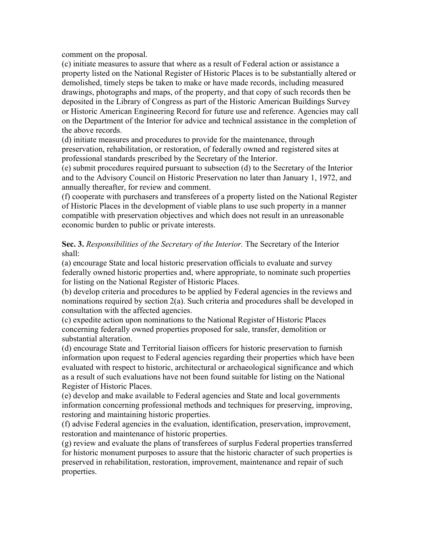comment on the proposal.

(c) initiate measures to assure that where as a result of Federal action or assistance a property listed on the National Register of Historic Places is to be substantially altered or demolished, timely steps be taken to make or have made records, including measured drawings, photographs and maps, of the property, and that copy of such records then be deposited in the Library of Congress as part of the Historic American Buildings Survey or Historic American Engineering Record for future use and reference. Agencies may call on the Department of the Interior for advice and technical assistance in the completion of the above records.

(d) initiate measures and procedures to provide for the maintenance, through preservation, rehabilitation, or restoration, of federally owned and registered sites at professional standards prescribed by the Secretary of the Interior.

(e) submit procedures required pursuant to subsection (d) to the Secretary of the Interior and to the Advisory Council on Historic Preservation no later than January 1, 1972, and annually thereafter, for review and comment.

(f) cooperate with purchasers and transferees of a property listed on the National Register of Historic Places in the development of viable plans to use such property in a manner compatible with preservation objectives and which does not result in an unreasonable economic burden to public or private interests.

**Sec. 3.** *Responsibilities of the Secretary of the Interior.* The Secretary of the Interior shall:

(a) encourage State and local historic preservation officials to evaluate and survey federally owned historic properties and, where appropriate, to nominate such properties for listing on the National Register of Historic Places.

(b) develop criteria and procedures to be applied by Federal agencies in the reviews and nominations required by section 2(a). Such criteria and procedures shall be developed in consultation with the affected agencies.

(c) expedite action upon nominations to the National Register of Historic Places concerning federally owned properties proposed for sale, transfer, demolition or substantial alteration.

(d) encourage State and Territorial liaison officers for historic preservation to furnish information upon request to Federal agencies regarding their properties which have been evaluated with respect to historic, architectural or archaeological significance and which as a result of such evaluations have not been found suitable for listing on the National Register of Historic Places.

(e) develop and make available to Federal agencies and State and local governments information concerning professional methods and techniques for preserving, improving, restoring and maintaining historic properties.

(f) advise Federal agencies in the evaluation, identification, preservation, improvement, restoration and maintenance of historic properties.

(g) review and evaluate the plans of transferees of surplus Federal properties transferred for historic monument purposes to assure that the historic character of such properties is preserved in rehabilitation, restoration, improvement, maintenance and repair of such properties.